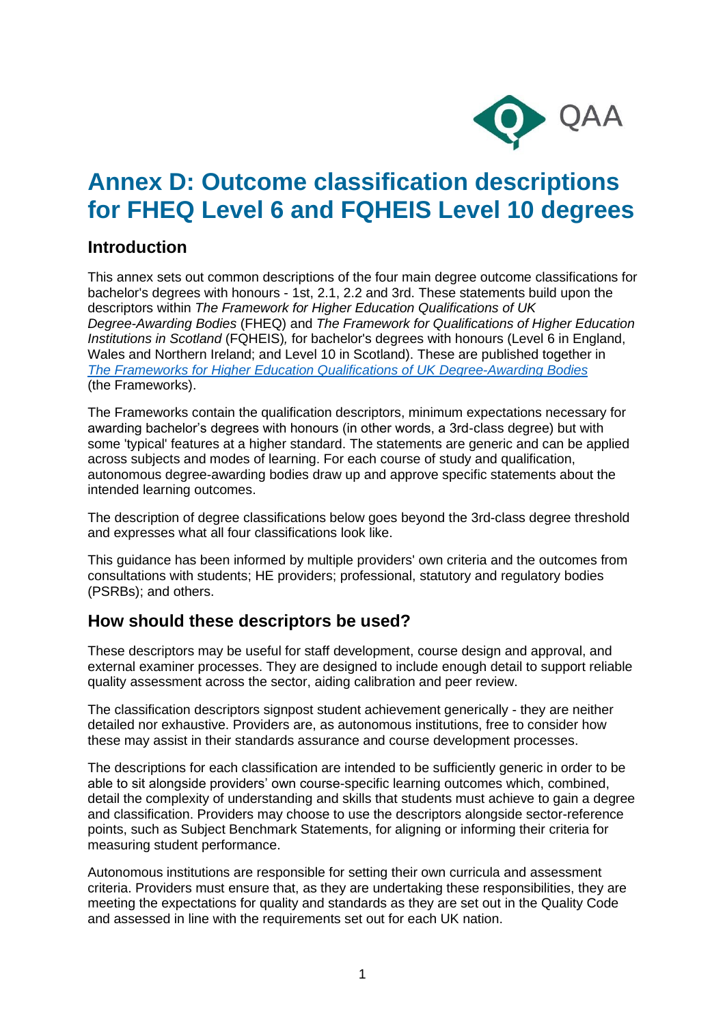

# **Annex D: Outcome classification descriptions for FHEQ Level 6 and FQHEIS Level 10 degrees**

### **Introduction**

This annex sets out common descriptions of the four main degree outcome classifications for bachelor's degrees with honours - 1st, 2.1, 2.2 and 3rd. These statements build upon the descriptors within *The Framework for Higher Education Qualifications of UK Degree-Awarding Bodies* (FHEQ) and *The Framework for Qualifications of Higher Education Institutions in Scotland* (FQHEIS)*,* for bachelor's degrees with honours (Level 6 in England, Wales and Northern Ireland; and Level 10 in Scotland). These are published together in *The [Frameworks for Higher Education Qualifications of UK Degree-Awarding Bodies](https://www.qaa.ac.uk/docs/qaa/quality-code/qualifications-frameworks.pdf)* (the Frameworks).

The Frameworks contain the qualification descriptors, minimum expectations necessary for awarding bachelor's degrees with honours (in other words, a 3rd-class degree) but with some 'typical' features at a higher standard. The statements are generic and can be applied across subjects and modes of learning. For each course of study and qualification, autonomous degree-awarding bodies draw up and approve specific statements about the intended learning outcomes.

The description of degree classifications below goes beyond the 3rd-class degree threshold and expresses what all four classifications look like.

This guidance has been informed by multiple providers' own criteria and the outcomes from consultations with students; HE providers; professional, statutory and regulatory bodies (PSRBs); and others.

### **How should these descriptors be used?**

These descriptors may be useful for staff development, course design and approval, and external examiner processes. They are designed to include enough detail to support reliable quality assessment across the sector, aiding calibration and peer review.

The classification descriptors signpost student achievement generically - they are neither detailed nor exhaustive. Providers are, as autonomous institutions, free to consider how these may assist in their standards assurance and course development processes.

The descriptions for each classification are intended to be sufficiently generic in order to be able to sit alongside providers' own course-specific learning outcomes which, combined, detail the complexity of understanding and skills that students must achieve to gain a degree and classification. Providers may choose to use the descriptors alongside sector-reference points, such as Subject Benchmark Statements, for aligning or informing their criteria for measuring student performance.

Autonomous institutions are responsible for setting their own curricula and assessment criteria. Providers must ensure that, as they are undertaking these responsibilities, they are meeting the expectations for quality and standards as they are set out in the Quality Code and assessed in line with the requirements set out for each UK nation.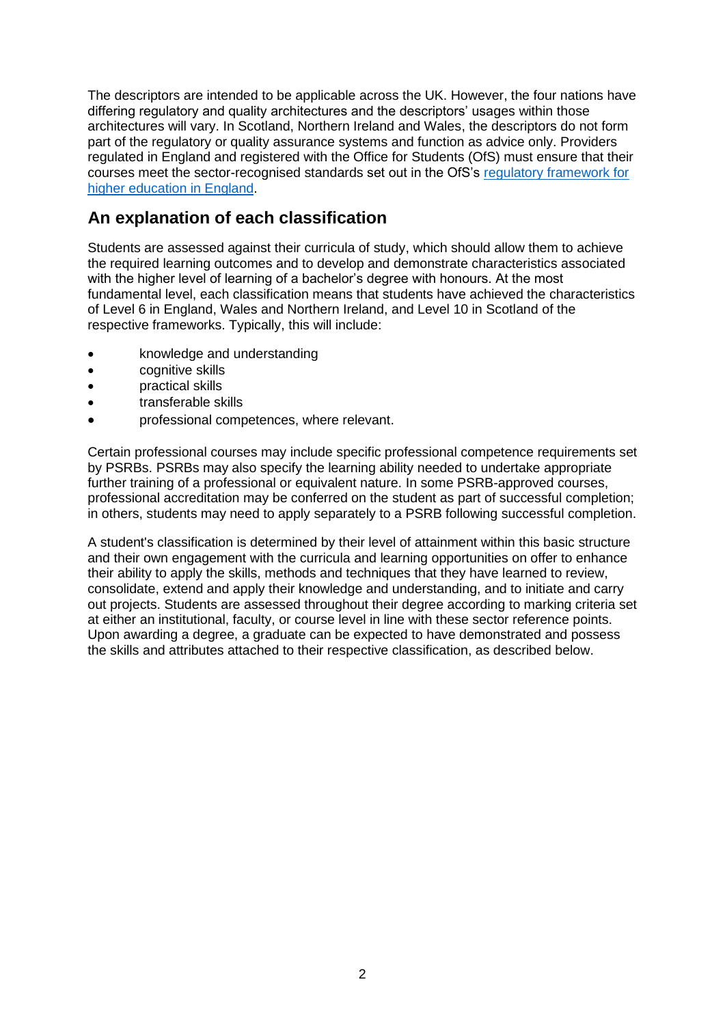The descriptors are intended to be applicable across the UK. However, the four nations have differing regulatory and quality architectures and the descriptors' usages within those architectures will vary. In Scotland, Northern Ireland and Wales, the descriptors do not form part of the regulatory or quality assurance systems and function as advice only. Providers regulated in England and registered with the Office for Students (OfS) must ensure that their courses meet the sector-recognised standards set out in the OfS's [regulatory framework for](https://www.officeforstudents.org.uk/advice-and-guidance/regulation/the-regulatory-framework-for-higher-education-in-england/)  [higher education in England.](https://www.officeforstudents.org.uk/advice-and-guidance/regulation/the-regulatory-framework-for-higher-education-in-england/)

### **An explanation of each classification**

Students are assessed against their curricula of study, which should allow them to achieve the required learning outcomes and to develop and demonstrate characteristics associated with the higher level of learning of a bachelor's degree with honours. At the most fundamental level, each classification means that students have achieved the characteristics of Level 6 in England, Wales and Northern Ireland, and Level 10 in Scotland of the respective frameworks. Typically, this will include:

- knowledge and understanding
- cognitive skills
- practical skills
- transferable skills
- professional competences, where relevant.

Certain professional courses may include specific professional competence requirements set by PSRBs. PSRBs may also specify the learning ability needed to undertake appropriate further training of a professional or equivalent nature. In some PSRB-approved courses, professional accreditation may be conferred on the student as part of successful completion; in others, students may need to apply separately to a PSRB following successful completion.

A student's classification is determined by their level of attainment within this basic structure and their own engagement with the curricula and learning opportunities on offer to enhance their ability to apply the skills, methods and techniques that they have learned to review, consolidate, extend and apply their knowledge and understanding, and to initiate and carry out projects. Students are assessed throughout their degree according to marking criteria set at either an institutional, faculty, or course level in line with these sector reference points. Upon awarding a degree, a graduate can be expected to have demonstrated and possess the skills and attributes attached to their respective classification, as described below.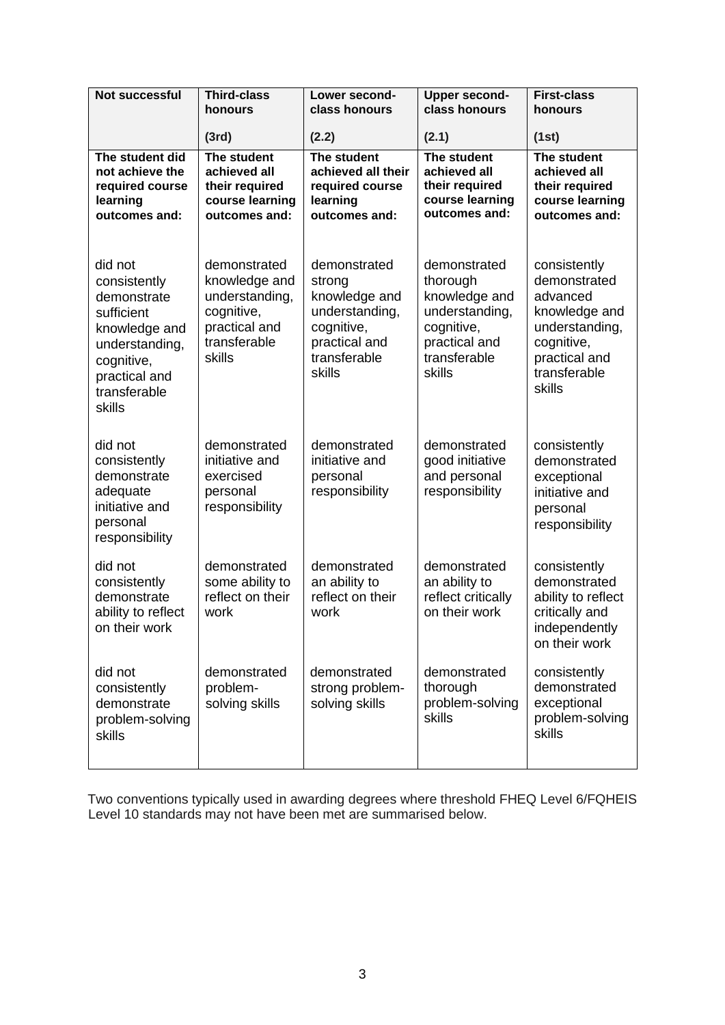| <b>Not successful</b>                                                                                                                            | <b>Third-class</b><br>honours                                                                            | Lower second-<br>class honours                                                                                     | <b>Upper second-</b><br>class honours                                                                                | <b>First-class</b><br>honours                                                                                                        |
|--------------------------------------------------------------------------------------------------------------------------------------------------|----------------------------------------------------------------------------------------------------------|--------------------------------------------------------------------------------------------------------------------|----------------------------------------------------------------------------------------------------------------------|--------------------------------------------------------------------------------------------------------------------------------------|
|                                                                                                                                                  | (3rd)                                                                                                    | (2.2)                                                                                                              | (2.1)                                                                                                                | (1st)                                                                                                                                |
| The student did<br>not achieve the<br>required course<br>learning<br>outcomes and:                                                               | The student<br>achieved all<br>their required<br>course learning<br>outcomes and:                        | The student<br>achieved all their<br>required course<br>learning<br>outcomes and:                                  | The student<br>achieved all<br>their required<br>course learning<br>outcomes and:                                    | The student<br>achieved all<br>their required<br>course learning<br>outcomes and:                                                    |
| did not<br>consistently<br>demonstrate<br>sufficient<br>knowledge and<br>understanding,<br>cognitive,<br>practical and<br>transferable<br>skills | demonstrated<br>knowledge and<br>understanding,<br>cognitive,<br>practical and<br>transferable<br>skills | demonstrated<br>strong<br>knowledge and<br>understanding,<br>cognitive,<br>practical and<br>transferable<br>skills | demonstrated<br>thorough<br>knowledge and<br>understanding,<br>cognitive,<br>practical and<br>transferable<br>skills | consistently<br>demonstrated<br>advanced<br>knowledge and<br>understanding,<br>cognitive,<br>practical and<br>transferable<br>skills |
| did not<br>consistently<br>demonstrate<br>adequate<br>initiative and<br>personal<br>responsibility                                               | demonstrated<br>initiative and<br>exercised<br>personal<br>responsibility                                | demonstrated<br>initiative and<br>personal<br>responsibility                                                       | demonstrated<br>good initiative<br>and personal<br>responsibility                                                    | consistently<br>demonstrated<br>exceptional<br>initiative and<br>personal<br>responsibility                                          |
| did not<br>consistently<br>demonstrate<br>ability to reflect<br>on their work                                                                    | demonstrated<br>some ability to<br>reflect on their<br>work                                              | demonstrated<br>an ability to<br>reflect on their<br>work                                                          | demonstrated<br>an ability to<br>reflect critically<br>on their work                                                 | consistently<br>demonstrated<br>ability to reflect<br>critically and<br>independently<br>on their work                               |
| did not<br>consistently<br>demonstrate<br>problem-solving<br><b>skills</b>                                                                       | demonstrated<br>problem-<br>solving skills                                                               | demonstrated<br>strong problem-<br>solving skills                                                                  | demonstrated<br>thorough<br>problem-solving<br>skills                                                                | consistently<br>demonstrated<br>exceptional<br>problem-solving<br>skills                                                             |

Two conventions typically used in awarding degrees where threshold FHEQ Level 6/FQHEIS Level 10 standards may not have been met are summarised below.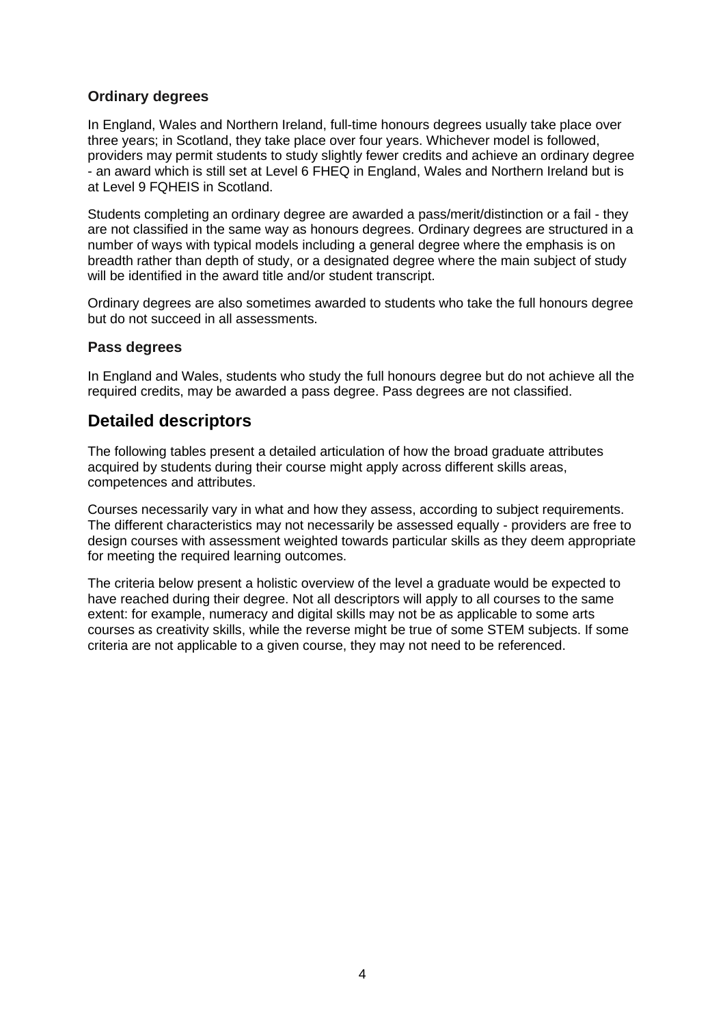#### **Ordinary degrees**

In England, Wales and Northern Ireland, full-time honours degrees usually take place over three years; in Scotland, they take place over four years. Whichever model is followed, providers may permit students to study slightly fewer credits and achieve an ordinary degree - an award which is still set at Level 6 FHEQ in England, Wales and Northern Ireland but is at Level 9 FQHEIS in Scotland.

Students completing an ordinary degree are awarded a pass/merit/distinction or a fail - they are not classified in the same way as honours degrees. Ordinary degrees are structured in a number of ways with typical models including a general degree where the emphasis is on breadth rather than depth of study, or a designated degree where the main subject of study will be identified in the award title and/or student transcript.

Ordinary degrees are also sometimes awarded to students who take the full honours degree but do not succeed in all assessments.

#### **Pass degrees**

In England and Wales, students who study the full honours degree but do not achieve all the required credits, may be awarded a pass degree. Pass degrees are not classified.

#### **Detailed descriptors**

The following tables present a detailed articulation of how the broad graduate attributes acquired by students during their course might apply across different skills areas, competences and attributes.

Courses necessarily vary in what and how they assess, according to subject requirements. The different characteristics may not necessarily be assessed equally - providers are free to design courses with assessment weighted towards particular skills as they deem appropriate for meeting the required learning outcomes.

The criteria below present a holistic overview of the level a graduate would be expected to have reached during their degree. Not all descriptors will apply to all courses to the same extent: for example, numeracy and digital skills may not be as applicable to some arts courses as creativity skills, while the reverse might be true of some STEM subjects. If some criteria are not applicable to a given course, they may not need to be referenced.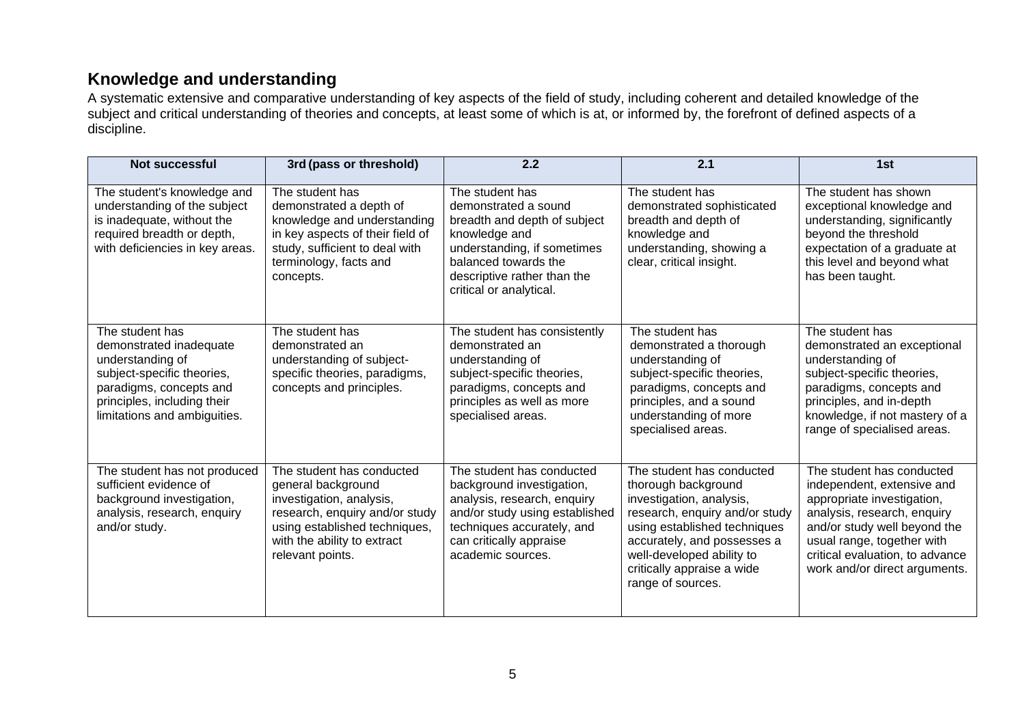## **Knowledge and understanding**

A systematic extensive and comparative understanding of key aspects of the field of study, including coherent and detailed knowledge of the subject and critical understanding of theories and concepts, at least some of which is at, or informed by, the forefront of defined aspects of a discipline.

| <b>Not successful</b>                                                                                                                                                                  | 3rd (pass or threshold)                                                                                                                                                                           | 2.2                                                                                                                                                                                                       | 2.1                                                                                                                                                                                                                                                           | 1st                                                                                                                                                                                                                                                    |
|----------------------------------------------------------------------------------------------------------------------------------------------------------------------------------------|---------------------------------------------------------------------------------------------------------------------------------------------------------------------------------------------------|-----------------------------------------------------------------------------------------------------------------------------------------------------------------------------------------------------------|---------------------------------------------------------------------------------------------------------------------------------------------------------------------------------------------------------------------------------------------------------------|--------------------------------------------------------------------------------------------------------------------------------------------------------------------------------------------------------------------------------------------------------|
| The student's knowledge and<br>understanding of the subject<br>is inadequate, without the<br>required breadth or depth,<br>with deficiencies in key areas.                             | The student has<br>demonstrated a depth of<br>knowledge and understanding<br>in key aspects of their field of<br>study, sufficient to deal with<br>terminology, facts and<br>concepts.            | The student has<br>demonstrated a sound<br>breadth and depth of subject<br>knowledge and<br>understanding, if sometimes<br>balanced towards the<br>descriptive rather than the<br>critical or analytical. | The student has<br>demonstrated sophisticated<br>breadth and depth of<br>knowledge and<br>understanding, showing a<br>clear, critical insight.                                                                                                                | The student has shown<br>exceptional knowledge and<br>understanding, significantly<br>beyond the threshold<br>expectation of a graduate at<br>this level and beyond what<br>has been taught.                                                           |
| The student has<br>demonstrated inadequate<br>understanding of<br>subject-specific theories,<br>paradigms, concepts and<br>principles, including their<br>limitations and ambiguities. | The student has<br>demonstrated an<br>understanding of subject-<br>specific theories, paradigms,<br>concepts and principles.                                                                      | The student has consistently<br>demonstrated an<br>understanding of<br>subject-specific theories,<br>paradigms, concepts and<br>principles as well as more<br>specialised areas.                          | The student has<br>demonstrated a thorough<br>understanding of<br>subject-specific theories,<br>paradigms, concepts and<br>principles, and a sound<br>understanding of more<br>specialised areas.                                                             | The student has<br>demonstrated an exceptional<br>understanding of<br>subject-specific theories,<br>paradigms, concepts and<br>principles, and in-depth<br>knowledge, if not mastery of a<br>range of specialised areas.                               |
| The student has not produced<br>sufficient evidence of<br>background investigation,<br>analysis, research, enquiry<br>and/or study.                                                    | The student has conducted<br>general background<br>investigation, analysis,<br>research, enquiry and/or study<br>using established techniques,<br>with the ability to extract<br>relevant points. | The student has conducted<br>background investigation,<br>analysis, research, enquiry<br>and/or study using established<br>techniques accurately, and<br>can critically appraise<br>academic sources.     | The student has conducted<br>thorough background<br>investigation, analysis,<br>research, enquiry and/or study<br>using established techniques<br>accurately, and possesses a<br>well-developed ability to<br>critically appraise a wide<br>range of sources. | The student has conducted<br>independent, extensive and<br>appropriate investigation,<br>analysis, research, enquiry<br>and/or study well beyond the<br>usual range, together with<br>critical evaluation, to advance<br>work and/or direct arguments. |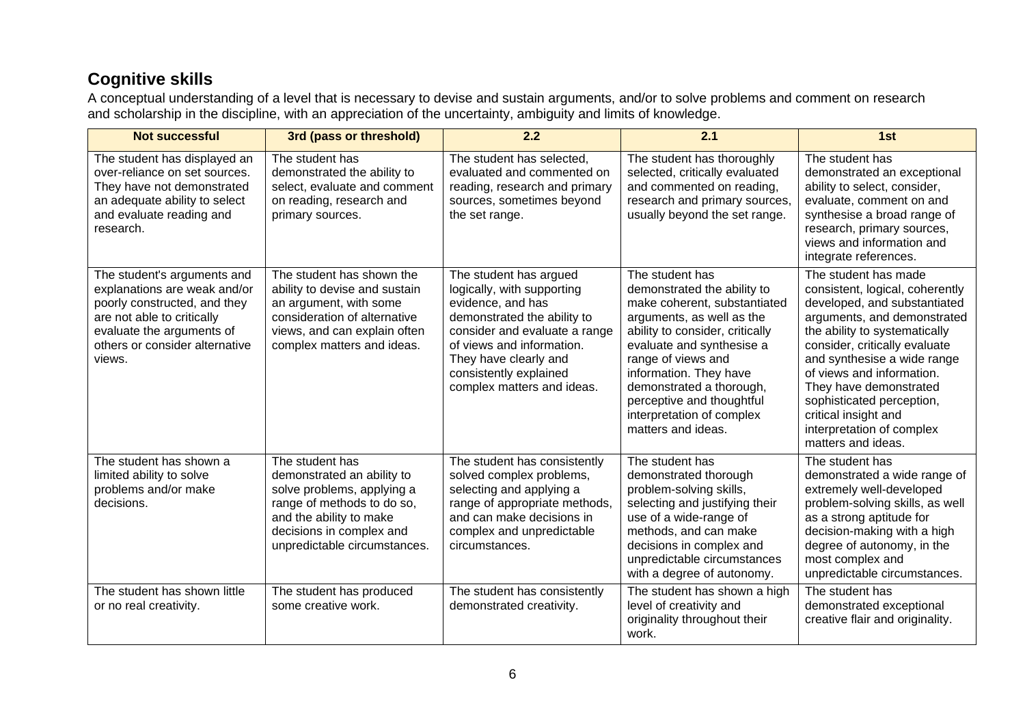# **Cognitive skills**

A conceptual understanding of a level that is necessary to devise and sustain arguments, and/or to solve problems and comment on research and scholarship in the discipline, with an appreciation of the uncertainty, ambiguity and limits of knowledge.

| <b>Not successful</b>                                                                                                                                                                              | 3rd (pass or threshold)                                                                                                                                                                          | 2.2                                                                                                                                                                                                                                                     | 2.1                                                                                                                                                                                                                                                                                                                                     | 1st                                                                                                                                                                                                                                                                                                                                                                                    |
|----------------------------------------------------------------------------------------------------------------------------------------------------------------------------------------------------|--------------------------------------------------------------------------------------------------------------------------------------------------------------------------------------------------|---------------------------------------------------------------------------------------------------------------------------------------------------------------------------------------------------------------------------------------------------------|-----------------------------------------------------------------------------------------------------------------------------------------------------------------------------------------------------------------------------------------------------------------------------------------------------------------------------------------|----------------------------------------------------------------------------------------------------------------------------------------------------------------------------------------------------------------------------------------------------------------------------------------------------------------------------------------------------------------------------------------|
| The student has displayed an<br>over-reliance on set sources.<br>They have not demonstrated<br>an adequate ability to select<br>and evaluate reading and<br>research.                              | The student has<br>demonstrated the ability to<br>select, evaluate and comment<br>on reading, research and<br>primary sources.                                                                   | The student has selected,<br>evaluated and commented on<br>reading, research and primary<br>sources, sometimes beyond<br>the set range.                                                                                                                 | The student has thoroughly<br>selected, critically evaluated<br>and commented on reading,<br>research and primary sources,<br>usually beyond the set range.                                                                                                                                                                             | The student has<br>demonstrated an exceptional<br>ability to select, consider,<br>evaluate, comment on and<br>synthesise a broad range of<br>research, primary sources,<br>views and information and<br>integrate references.                                                                                                                                                          |
| The student's arguments and<br>explanations are weak and/or<br>poorly constructed, and they<br>are not able to critically<br>evaluate the arguments of<br>others or consider alternative<br>views. | The student has shown the<br>ability to devise and sustain<br>an argument, with some<br>consideration of alternative<br>views, and can explain often<br>complex matters and ideas.               | The student has argued<br>logically, with supporting<br>evidence, and has<br>demonstrated the ability to<br>consider and evaluate a range<br>of views and information.<br>They have clearly and<br>consistently explained<br>complex matters and ideas. | The student has<br>demonstrated the ability to<br>make coherent, substantiated<br>arguments, as well as the<br>ability to consider, critically<br>evaluate and synthesise a<br>range of views and<br>information. They have<br>demonstrated a thorough,<br>perceptive and thoughtful<br>interpretation of complex<br>matters and ideas. | The student has made<br>consistent, logical, coherently<br>developed, and substantiated<br>arguments, and demonstrated<br>the ability to systematically<br>consider, critically evaluate<br>and synthesise a wide range<br>of views and information.<br>They have demonstrated<br>sophisticated perception,<br>critical insight and<br>interpretation of complex<br>matters and ideas. |
| The student has shown a<br>limited ability to solve<br>problems and/or make<br>decisions.                                                                                                          | The student has<br>demonstrated an ability to<br>solve problems, applying a<br>range of methods to do so,<br>and the ability to make<br>decisions in complex and<br>unpredictable circumstances. | The student has consistently<br>solved complex problems,<br>selecting and applying a<br>range of appropriate methods,<br>and can make decisions in<br>complex and unpredictable<br>circumstances.                                                       | The student has<br>demonstrated thorough<br>problem-solving skills,<br>selecting and justifying their<br>use of a wide-range of<br>methods, and can make<br>decisions in complex and<br>unpredictable circumstances<br>with a degree of autonomy.                                                                                       | The student has<br>demonstrated a wide range of<br>extremely well-developed<br>problem-solving skills, as well<br>as a strong aptitude for<br>decision-making with a high<br>degree of autonomy, in the<br>most complex and<br>unpredictable circumstances.                                                                                                                            |
| The student has shown little<br>or no real creativity.                                                                                                                                             | The student has produced<br>some creative work.                                                                                                                                                  | The student has consistently<br>demonstrated creativity.                                                                                                                                                                                                | The student has shown a high<br>level of creativity and<br>originality throughout their<br>work.                                                                                                                                                                                                                                        | The student has<br>demonstrated exceptional<br>creative flair and originality.                                                                                                                                                                                                                                                                                                         |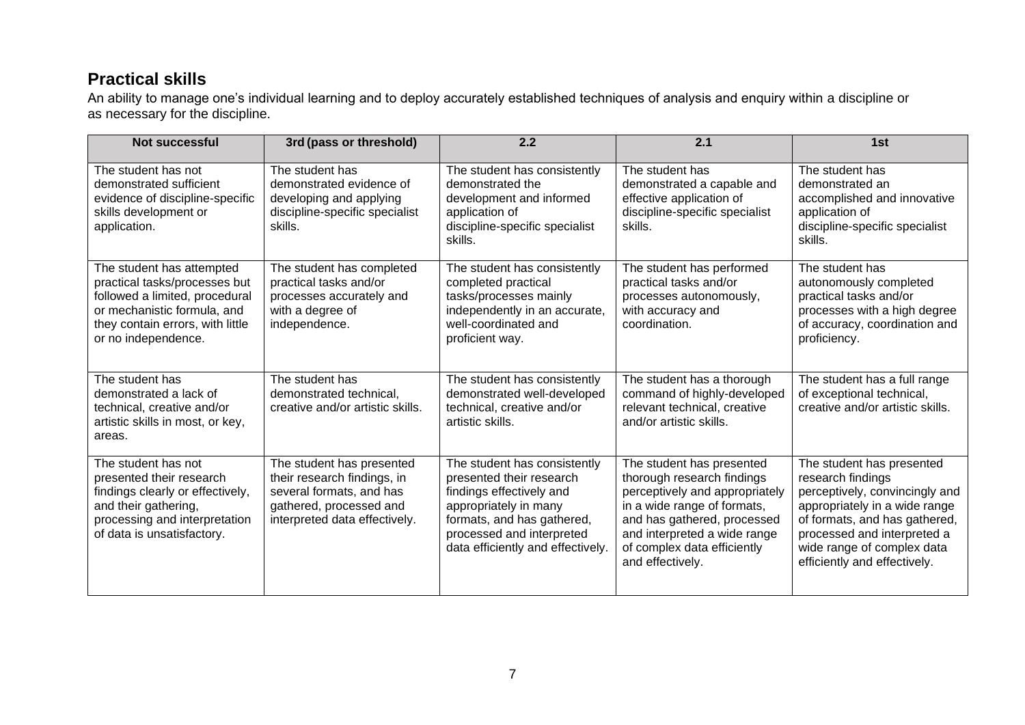## **Practical skills**

An ability to manage one's individual learning and to deploy accurately established techniques of analysis and enquiry within a discipline or as necessary for the discipline.

| <b>Not successful</b>                                                                                                                                                                  | 3rd (pass or threshold)                                                                                                                          | 2.2                                                                                                                                                                                                           | 2.1                                                                                                                                                                                                                                        | 1st                                                                                                                                                                                                                                             |
|----------------------------------------------------------------------------------------------------------------------------------------------------------------------------------------|--------------------------------------------------------------------------------------------------------------------------------------------------|---------------------------------------------------------------------------------------------------------------------------------------------------------------------------------------------------------------|--------------------------------------------------------------------------------------------------------------------------------------------------------------------------------------------------------------------------------------------|-------------------------------------------------------------------------------------------------------------------------------------------------------------------------------------------------------------------------------------------------|
| The student has not<br>demonstrated sufficient<br>evidence of discipline-specific<br>skills development or<br>application.                                                             | The student has<br>demonstrated evidence of<br>developing and applying<br>discipline-specific specialist<br>skills.                              | The student has consistently<br>demonstrated the<br>development and informed<br>application of<br>discipline-specific specialist<br>skills.                                                                   | The student has<br>demonstrated a capable and<br>effective application of<br>discipline-specific specialist<br>skills.                                                                                                                     | The student has<br>demonstrated an<br>accomplished and innovative<br>application of<br>discipline-specific specialist<br>skills.                                                                                                                |
| The student has attempted<br>practical tasks/processes but<br>followed a limited, procedural<br>or mechanistic formula, and<br>they contain errors, with little<br>or no independence. | The student has completed<br>practical tasks and/or<br>processes accurately and<br>with a degree of<br>independence.                             | The student has consistently<br>completed practical<br>tasks/processes mainly<br>independently in an accurate,<br>well-coordinated and<br>proficient way.                                                     | The student has performed<br>practical tasks and/or<br>processes autonomously,<br>with accuracy and<br>coordination.                                                                                                                       | The student has<br>autonomously completed<br>practical tasks and/or<br>processes with a high degree<br>of accuracy, coordination and<br>proficiency.                                                                                            |
| The student has<br>demonstrated a lack of<br>technical, creative and/or<br>artistic skills in most, or key,<br>areas.                                                                  | The student has<br>demonstrated technical,<br>creative and/or artistic skills.                                                                   | The student has consistently<br>demonstrated well-developed<br>technical, creative and/or<br>artistic skills.                                                                                                 | The student has a thorough<br>command of highly-developed<br>relevant technical, creative<br>and/or artistic skills.                                                                                                                       | The student has a full range<br>of exceptional technical,<br>creative and/or artistic skills.                                                                                                                                                   |
| The student has not<br>presented their research<br>findings clearly or effectively,<br>and their gathering,<br>processing and interpretation<br>of data is unsatisfactory.             | The student has presented<br>their research findings, in<br>several formats, and has<br>gathered, processed and<br>interpreted data effectively. | The student has consistently<br>presented their research<br>findings effectively and<br>appropriately in many<br>formats, and has gathered,<br>processed and interpreted<br>data efficiently and effectively. | The student has presented<br>thorough research findings<br>perceptively and appropriately<br>in a wide range of formats,<br>and has gathered, processed<br>and interpreted a wide range<br>of complex data efficiently<br>and effectively. | The student has presented<br>research findings<br>perceptively, convincingly and<br>appropriately in a wide range<br>of formats, and has gathered,<br>processed and interpreted a<br>wide range of complex data<br>efficiently and effectively. |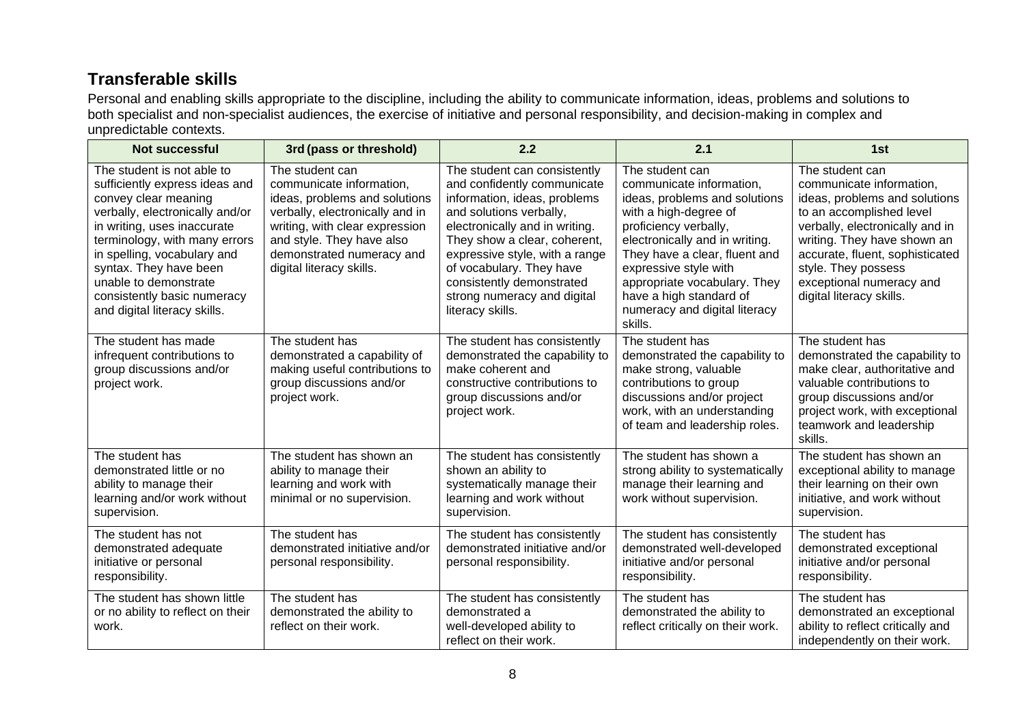# **Transferable skills**

Personal and enabling skills appropriate to the discipline, including the ability to communicate information, ideas, problems and solutions to both specialist and non-specialist audiences, the exercise of initiative and personal responsibility, and decision-making in complex and unpredictable contexts.

| <b>Not successful</b>                                                                                                                                                                                                                                                                                                                    | 3rd (pass or threshold)                                                                                                                                                                                                                 | 2.2                                                                                                                                                                                                                                                                                                                                    | 2.1                                                                                                                                                                                                                                                                                                                               | 1st                                                                                                                                                                                                                                                                                          |
|------------------------------------------------------------------------------------------------------------------------------------------------------------------------------------------------------------------------------------------------------------------------------------------------------------------------------------------|-----------------------------------------------------------------------------------------------------------------------------------------------------------------------------------------------------------------------------------------|----------------------------------------------------------------------------------------------------------------------------------------------------------------------------------------------------------------------------------------------------------------------------------------------------------------------------------------|-----------------------------------------------------------------------------------------------------------------------------------------------------------------------------------------------------------------------------------------------------------------------------------------------------------------------------------|----------------------------------------------------------------------------------------------------------------------------------------------------------------------------------------------------------------------------------------------------------------------------------------------|
| The student is not able to<br>sufficiently express ideas and<br>convey clear meaning<br>verbally, electronically and/or<br>in writing, uses inaccurate<br>terminology, with many errors<br>in spelling, vocabulary and<br>syntax. They have been<br>unable to demonstrate<br>consistently basic numeracy<br>and digital literacy skills. | The student can<br>communicate information,<br>ideas, problems and solutions<br>verbally, electronically and in<br>writing, with clear expression<br>and style. They have also<br>demonstrated numeracy and<br>digital literacy skills. | The student can consistently<br>and confidently communicate<br>information, ideas, problems<br>and solutions verbally,<br>electronically and in writing.<br>They show a clear, coherent,<br>expressive style, with a range<br>of vocabulary. They have<br>consistently demonstrated<br>strong numeracy and digital<br>literacy skills. | The student can<br>communicate information,<br>ideas, problems and solutions<br>with a high-degree of<br>proficiency verbally,<br>electronically and in writing.<br>They have a clear, fluent and<br>expressive style with<br>appropriate vocabulary. They<br>have a high standard of<br>numeracy and digital literacy<br>skills. | The student can<br>communicate information,<br>ideas, problems and solutions<br>to an accomplished level<br>verbally, electronically and in<br>writing. They have shown an<br>accurate, fluent, sophisticated<br>style. They possess<br>exceptional numeracy and<br>digital literacy skills. |
| The student has made<br>infrequent contributions to<br>group discussions and/or<br>project work.                                                                                                                                                                                                                                         | The student has<br>demonstrated a capability of<br>making useful contributions to<br>group discussions and/or<br>project work.                                                                                                          | The student has consistently<br>demonstrated the capability to<br>make coherent and<br>constructive contributions to<br>group discussions and/or<br>project work.                                                                                                                                                                      | The student has<br>demonstrated the capability to<br>make strong, valuable<br>contributions to group<br>discussions and/or project<br>work, with an understanding<br>of team and leadership roles.                                                                                                                                | The student has<br>demonstrated the capability to<br>make clear, authoritative and<br>valuable contributions to<br>group discussions and/or<br>project work, with exceptional<br>teamwork and leadership<br>skills.                                                                          |
| The student has<br>demonstrated little or no<br>ability to manage their<br>learning and/or work without<br>supervision.                                                                                                                                                                                                                  | The student has shown an<br>ability to manage their<br>learning and work with<br>minimal or no supervision.                                                                                                                             | The student has consistently<br>shown an ability to<br>systematically manage their<br>learning and work without<br>supervision.                                                                                                                                                                                                        | The student has shown a<br>strong ability to systematically<br>manage their learning and<br>work without supervision.                                                                                                                                                                                                             | The student has shown an<br>exceptional ability to manage<br>their learning on their own<br>initiative, and work without<br>supervision.                                                                                                                                                     |
| The student has not<br>demonstrated adequate<br>initiative or personal<br>responsibility.                                                                                                                                                                                                                                                | The student has<br>demonstrated initiative and/or<br>personal responsibility.                                                                                                                                                           | The student has consistently<br>demonstrated initiative and/or<br>personal responsibility.                                                                                                                                                                                                                                             | The student has consistently<br>demonstrated well-developed<br>initiative and/or personal<br>responsibility.                                                                                                                                                                                                                      | The student has<br>demonstrated exceptional<br>initiative and/or personal<br>responsibility.                                                                                                                                                                                                 |
| The student has shown little<br>or no ability to reflect on their<br>work.                                                                                                                                                                                                                                                               | The student has<br>demonstrated the ability to<br>reflect on their work.                                                                                                                                                                | The student has consistently<br>demonstrated a<br>well-developed ability to<br>reflect on their work.                                                                                                                                                                                                                                  | The student has<br>demonstrated the ability to<br>reflect critically on their work.                                                                                                                                                                                                                                               | The student has<br>demonstrated an exceptional<br>ability to reflect critically and<br>independently on their work.                                                                                                                                                                          |